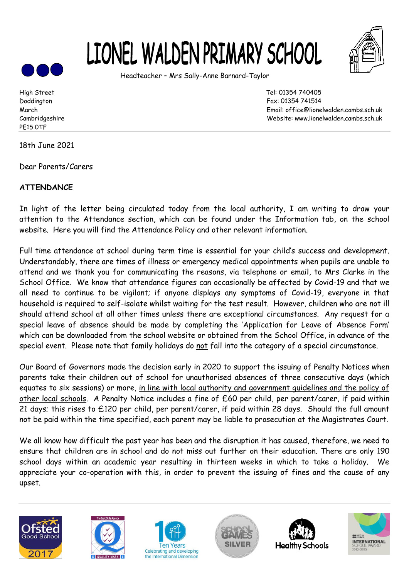



Headteacher – Mrs Sally-Anne Barnard-Taylor

PE15 0TF

18th June 2021

Dear Parents/Carers

## **ATTENDANCE**

In light of the letter being circulated today from the local authority, I am writing to draw your attention to the Attendance section, which can be found under the Information tab, on the school website. Here you will find the Attendance Policy and other relevant information.

Full time attendance at school during term time is essential for your child's success and development. Understandably, there are times of illness or emergency medical appointments when pupils are unable to attend and we thank you for communicating the reasons, via telephone or email, to Mrs Clarke in the School Office. We know that attendance figures can occasionally be affected by Covid-19 and that we all need to continue to be vigilant; if anyone displays any symptoms of Covid-19, everyone in that household is required to self-isolate whilst waiting for the test result. However, children who are not ill should attend school at all other times unless there are exceptional circumstances. Any request for a special leave of absence should be made by completing the 'Application for Leave of Absence Form' which can be downloaded from the school website or obtained from the School Office, in advance of the special event. Please note that family holidays do not fall into the category of a special circumstance.

Our Board of Governors made the decision early in 2020 to support the issuing of Penalty Notices when parents take their children out of school for unauthorised absences of three consecutive days (which equates to six sessions) or more, in line with local authority and government guidelines and the policy of other local schools. A Penalty Notice includes a fine of £60 per child, per parent/carer, if paid within 21 days; this rises to £120 per child, per parent/carer, if paid within 28 days. Should the full amount not be paid within the time specified, each parent may be liable to prosecution at the Magistrates Court.

We all know how difficult the past year has been and the disruption it has caused, therefore, we need to ensure that children are in school and do not miss out further on their education. There are only 190 school days within an academic year resulting in thirteen weeks in which to take a holiday. We appreciate your co-operation with this, in order to prevent the issuing of fines and the cause of any upset.













High Street Tel: 01354 740405 Doddington Fax: 01354 741514 March Email: office@lionelwalden.cambs.sch.uk Cambridgeshire Website: www.lionelwalden.cambs.sch.uk